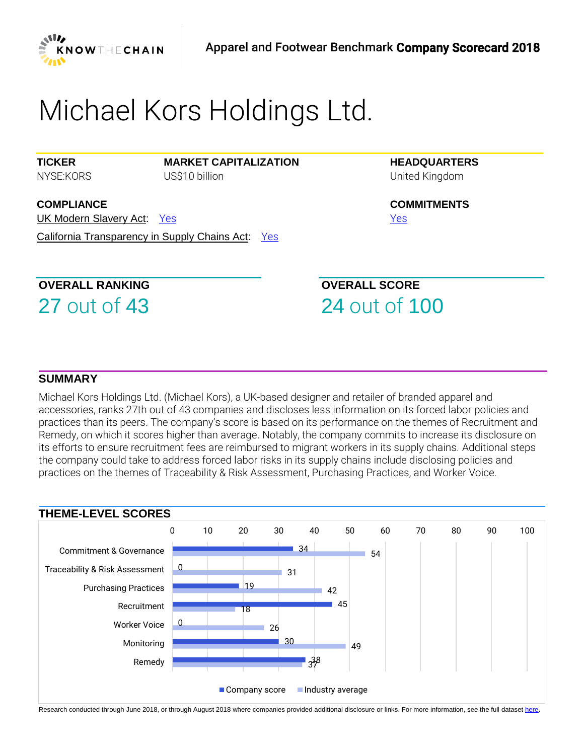

# *Michael Kors Holdings Ltd.*

**TICKER** *NYSE:KORS* **MARKET CAPITALIZATION** *US\$10 billion*

**HEADQUARTERS** *United Kingdom*

**COMMITMENTS** *[Yes](https://www.business-humanrights.org/sites/default/files/%28%281%29%29%202018%20KTC%20AF%20Non-scored%20Research%20-%20Michael%20Kors.pdf)* 

**COMPLIANCE** UK Modern Slavery Act: *[Yes](https://www.business-humanrights.org/sites/default/files/%28%281%29%29%202018%20KTC%20AF%20Non-scored%20Research%20-%20Michael%20Kors.pdf)*  California Transparency in Supply Chains Act: *[Yes](https://www.business-humanrights.org/sites/default/files/%28%281%29%29%202018%20KTC%20AF%20Non-scored%20Research%20-%20Michael%20Kors.pdf)* 

# **OVERALL RANKING**

27 *out of* 43

**OVERALL SCORE** 24 *out of* 100

### **SUMMARY**

*Michael Kors Holdings Ltd. (Michael Kors), a UK-based designer and retailer of branded apparel and accessories, ranks 27th out of 43 companies and discloses less information on its forced labor policies and practices than its peers. The company's score is based on its performance on the themes of Recruitment and Remedy, on which it scores higher than average. Notably, the company commits to increase its disclosure on its efforts to ensure recruitment fees are reimbursed to migrant workers in its supply chains. Additional steps the company could take to address forced labor risks in its supply chains include disclosing policies and practices on the themes of Traceability & Risk Assessment, Purchasing Practices, and Worker Voice.* 



Research conducted through June 2018, or through August 2018 where companies provided additional disclosure or links. For more information, see the full datase[t here.](https://knowthechain.org/benchmark-downloads/)